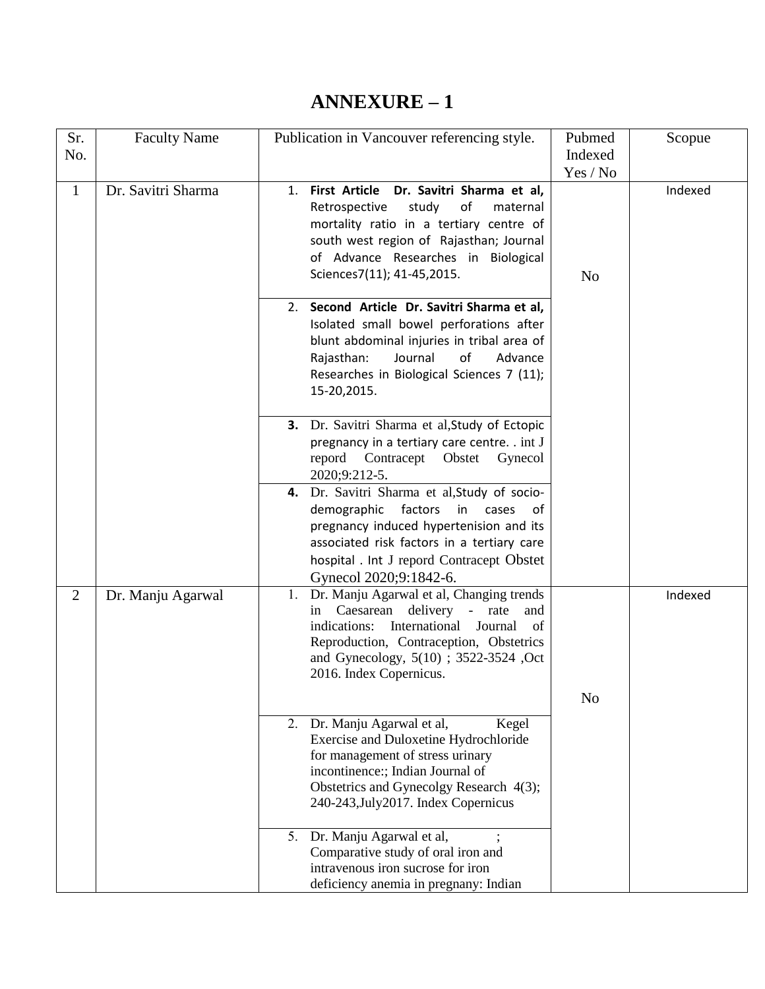## **ANNEXURE – 1**

| Sr.<br>No.     | <b>Faculty Name</b> | Publication in Vancouver referencing style.<br>Pubmed<br>Indexed<br>Yes / No                                                                                                                                                                                        | Scopue  |
|----------------|---------------------|---------------------------------------------------------------------------------------------------------------------------------------------------------------------------------------------------------------------------------------------------------------------|---------|
| $\mathbf{1}$   | Dr. Savitri Sharma  | 1. First Article Dr. Savitri Sharma et al,<br>of<br>Retrospective<br>study<br>maternal<br>mortality ratio in a tertiary centre of<br>south west region of Rajasthan; Journal<br>of Advance Researches in Biological<br>Sciences7(11); 41-45,2015.<br>N <sub>o</sub> | Indexed |
|                |                     | 2. Second Article Dr. Savitri Sharma et al,<br>Isolated small bowel perforations after<br>blunt abdominal injuries in tribal area of<br>Rajasthan:<br>of<br>Journal<br>Advance<br>Researches in Biological Sciences 7 (11);<br>15-20,2015.                          |         |
|                |                     | 3. Dr. Savitri Sharma et al, Study of Ectopic<br>pregnancy in a tertiary care centre. . int J<br>repord<br>Contracept<br>Obstet<br>Gynecol<br>2020;9:212-5.                                                                                                         |         |
|                |                     | 4. Dr. Savitri Sharma et al, Study of socio-<br>demographic<br>factors<br>in cases<br>of<br>pregnancy induced hypertenision and its<br>associated risk factors in a tertiary care<br>hospital. Int J repord Contracept Obstet<br>Gynecol 2020;9:1842-6.             |         |
| $\overline{2}$ | Dr. Manju Agarwal   | 1. Dr. Manju Agarwal et al, Changing trends<br>in Caesarean delivery - rate<br>and<br>indications: International<br>Journal of<br>Reproduction, Contraception, Obstetrics<br>and Gynecology, 5(10); 3522-3524, Oct<br>2016. Index Copernicus.                       | Indexed |
|                |                     | N <sub>o</sub>                                                                                                                                                                                                                                                      |         |
|                |                     | 2. Dr. Manju Agarwal et al,<br>Kegel<br>Exercise and Duloxetine Hydrochloride<br>for management of stress urinary<br>incontinence:; Indian Journal of<br>Obstetrics and Gynecolgy Research 4(3);<br>240-243, July 2017. Index Copernicus                            |         |
|                |                     | 5. Dr. Manju Agarwal et al,<br>Comparative study of oral iron and<br>intravenous iron sucrose for iron<br>deficiency anemia in pregnany: Indian                                                                                                                     |         |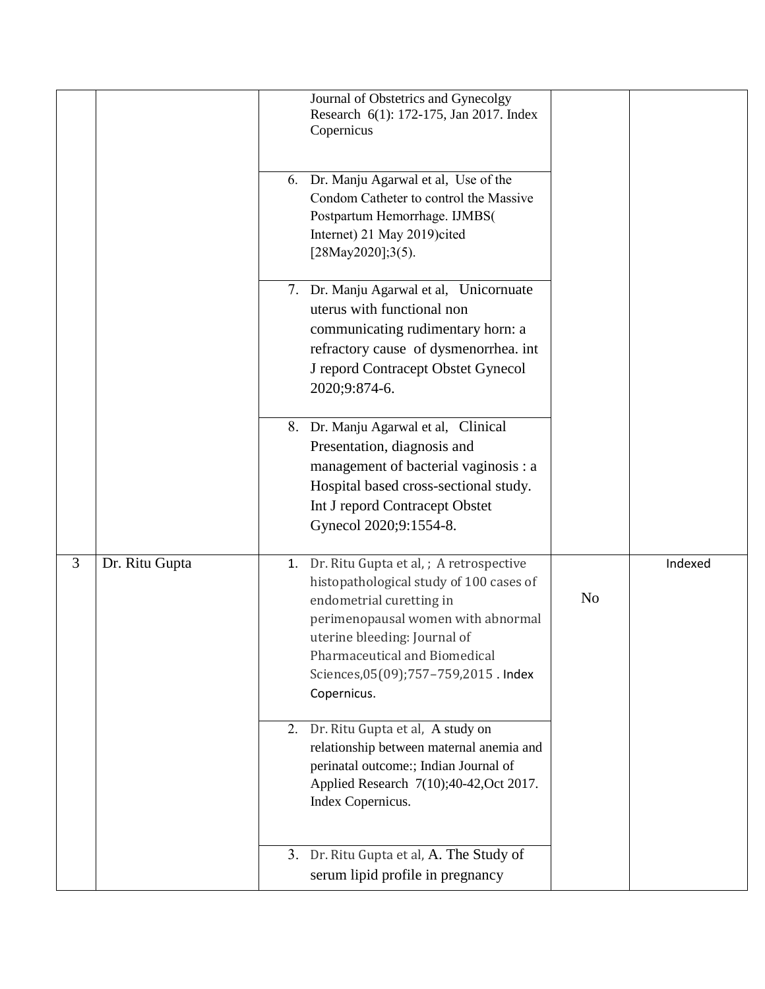|   |                | Journal of Obstetrics and Gynecolgy<br>Research 6(1): 172-175, Jan 2017. Index<br>Copernicus<br>6. Dr. Manju Agarwal et al, Use of the<br>Condom Catheter to control the Massive<br>Postpartum Hemorrhage. IJMBS(<br>Internet) 21 May 2019)cited<br>[28May2020];3(5).<br>7. Dr. Manju Agarwal et al, Unicornuate<br>uterus with functional non<br>communicating rudimentary horn: a<br>refractory cause of dysmenorrhea. int<br>J repord Contracept Obstet Gynecol<br>2020;9:874-6.<br>8. Dr. Manju Agarwal et al, Clinical<br>Presentation, diagnosis and<br>management of bacterial vaginosis : a<br>Hospital based cross-sectional study.<br>Int J repord Contracept Obstet<br>Gynecol 2020;9:1554-8. |         |
|---|----------------|----------------------------------------------------------------------------------------------------------------------------------------------------------------------------------------------------------------------------------------------------------------------------------------------------------------------------------------------------------------------------------------------------------------------------------------------------------------------------------------------------------------------------------------------------------------------------------------------------------------------------------------------------------------------------------------------------------|---------|
| 3 | Dr. Ritu Gupta | 1. Dr. Ritu Gupta et al, ; A retrospective<br>histopathological study of 100 cases of<br>N <sub>o</sub><br>endometrial curetting in<br>perimenopausal women with abnormal<br>uterine bleeding: Journal of<br>Pharmaceutical and Biomedical<br>Sciences, 05(09); 757-759, 2015. Index<br>Copernicus.<br>2. Dr. Ritu Gupta et al, A study on<br>relationship between maternal anemia and<br>perinatal outcome:; Indian Journal of                                                                                                                                                                                                                                                                          | Indexed |
|   |                | Applied Research 7(10);40-42, Oct 2017.<br>Index Copernicus.<br>3. Dr. Ritu Gupta et al, A. The Study of<br>serum lipid profile in pregnancy                                                                                                                                                                                                                                                                                                                                                                                                                                                                                                                                                             |         |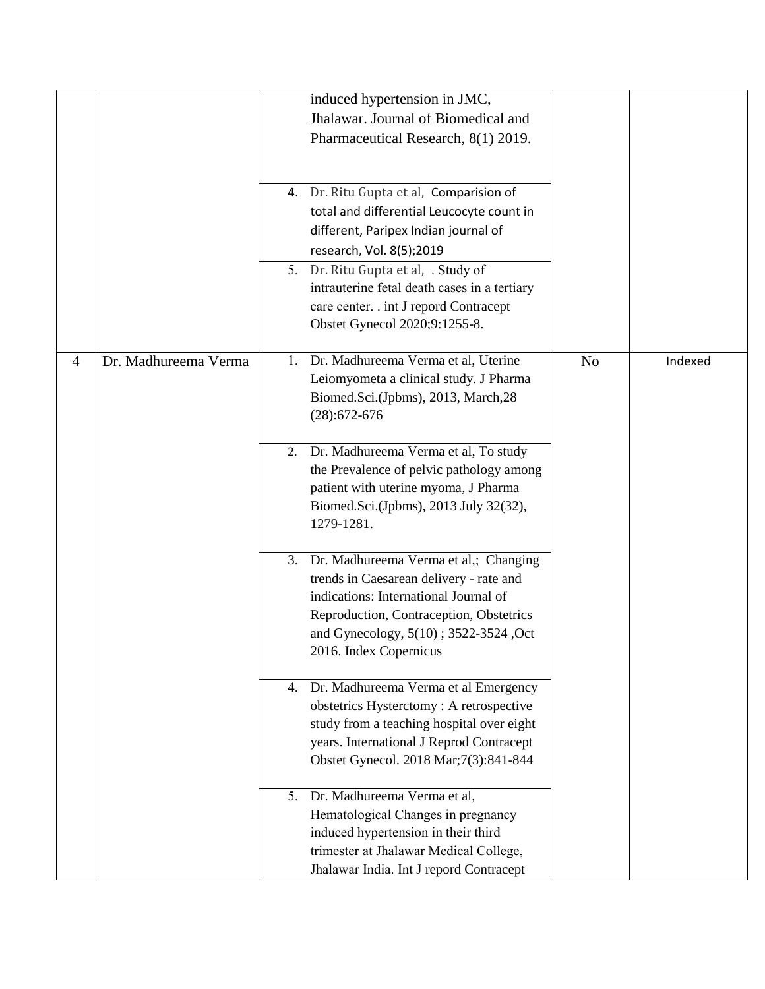|                |                      | induced hypertension in JMC,<br>Jhalawar. Journal of Biomedical and<br>Pharmaceutical Research, 8(1) 2019.                                                                                                                                 |                |         |
|----------------|----------------------|--------------------------------------------------------------------------------------------------------------------------------------------------------------------------------------------------------------------------------------------|----------------|---------|
|                |                      | 4. Dr. Ritu Gupta et al, Comparision of<br>total and differential Leucocyte count in<br>different, Paripex Indian journal of<br>research, Vol. 8(5);2019                                                                                   |                |         |
|                |                      | 5. Dr. Ritu Gupta et al, . Study of<br>intrauterine fetal death cases in a tertiary<br>care center. . int J repord Contracept<br>Obstet Gynecol 2020;9:1255-8.                                                                             |                |         |
| $\overline{4}$ | Dr. Madhureema Verma | 1. Dr. Madhureema Verma et al, Uterine<br>Leiomyometa a clinical study. J Pharma<br>Biomed.Sci.(Jpbms), 2013, March, 28<br>$(28): 672 - 676$                                                                                               | N <sub>o</sub> | Indexed |
|                |                      | Dr. Madhureema Verma et al, To study<br>2.<br>the Prevalence of pelvic pathology among<br>patient with uterine myoma, J Pharma<br>Biomed.Sci.(Jpbms), 2013 July 32(32),<br>1279-1281.                                                      |                |         |
|                |                      | 3. Dr. Madhureema Verma et al,; Changing<br>trends in Caesarean delivery - rate and<br>indications: International Journal of<br>Reproduction, Contraception, Obstetrics<br>and Gynecology, 5(10); 3522-3524, Oct<br>2016. Index Copernicus |                |         |
|                |                      | 4. Dr. Madhureema Verma et al Emergency<br>obstetrics Hysterctomy: A retrospective<br>study from a teaching hospital over eight<br>years. International J Reprod Contracept<br>Obstet Gynecol. 2018 Mar; 7(3): 841-844                     |                |         |
|                |                      | 5. Dr. Madhureema Verma et al,<br>Hematological Changes in pregnancy<br>induced hypertension in their third<br>trimester at Jhalawar Medical College,<br>Jhalawar India. Int J repord Contracept                                           |                |         |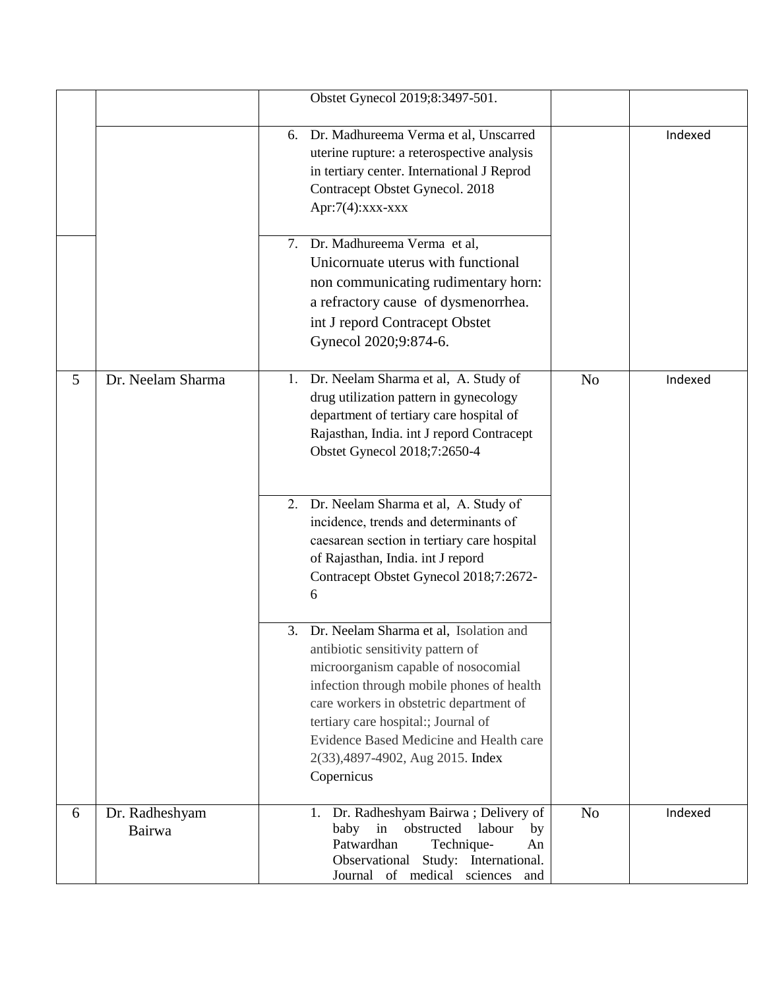|   |                          | Obstet Gynecol 2019;8:3497-501.                                                                                                                                                                                                                                                                                                                    |         |
|---|--------------------------|----------------------------------------------------------------------------------------------------------------------------------------------------------------------------------------------------------------------------------------------------------------------------------------------------------------------------------------------------|---------|
|   |                          | Dr. Madhureema Verma et al, Unscarred<br>6.<br>uterine rupture: a reterospective analysis<br>in tertiary center. International J Reprod<br>Contracept Obstet Gynecol. 2018<br>Apr:7(4): xxx-xxx                                                                                                                                                    | Indexed |
|   |                          | 7. Dr. Madhureema Verma et al,<br>Unicornuate uterus with functional<br>non communicating rudimentary horn:<br>a refractory cause of dysmenorrhea.<br>int J repord Contracept Obstet<br>Gynecol 2020;9:874-6.                                                                                                                                      |         |
| 5 | Dr. Neelam Sharma        | Dr. Neelam Sharma et al, A. Study of<br>N <sub>o</sub><br>1.<br>drug utilization pattern in gynecology<br>department of tertiary care hospital of<br>Rajasthan, India. int J repord Contracept<br>Obstet Gynecol 2018;7:2650-4                                                                                                                     | Indexed |
|   |                          | 2. Dr. Neelam Sharma et al, A. Study of<br>incidence, trends and determinants of<br>caesarean section in tertiary care hospital<br>of Rajasthan, India. int J repord<br>Contracept Obstet Gynecol 2018;7:2672-<br>6                                                                                                                                |         |
|   |                          | 3. Dr. Neelam Sharma et al, Isolation and<br>antibiotic sensitivity pattern of<br>microorganism capable of nosocomial<br>infection through mobile phones of health<br>care workers in obstetric department of<br>tertiary care hospital:; Journal of<br>Evidence Based Medicine and Health care<br>2(33), 4897-4902, Aug 2015. Index<br>Copernicus |         |
| 6 | Dr. Radheshyam<br>Bairwa | 1. Dr. Radheshyam Bairwa; Delivery of<br>N <sub>o</sub><br>in<br>obstructed<br>labour<br>baby<br>by<br>Patwardhan<br>Technique-<br>An<br>Observational<br>Study: International.<br>Journal<br>of medical sciences<br>and                                                                                                                           | Indexed |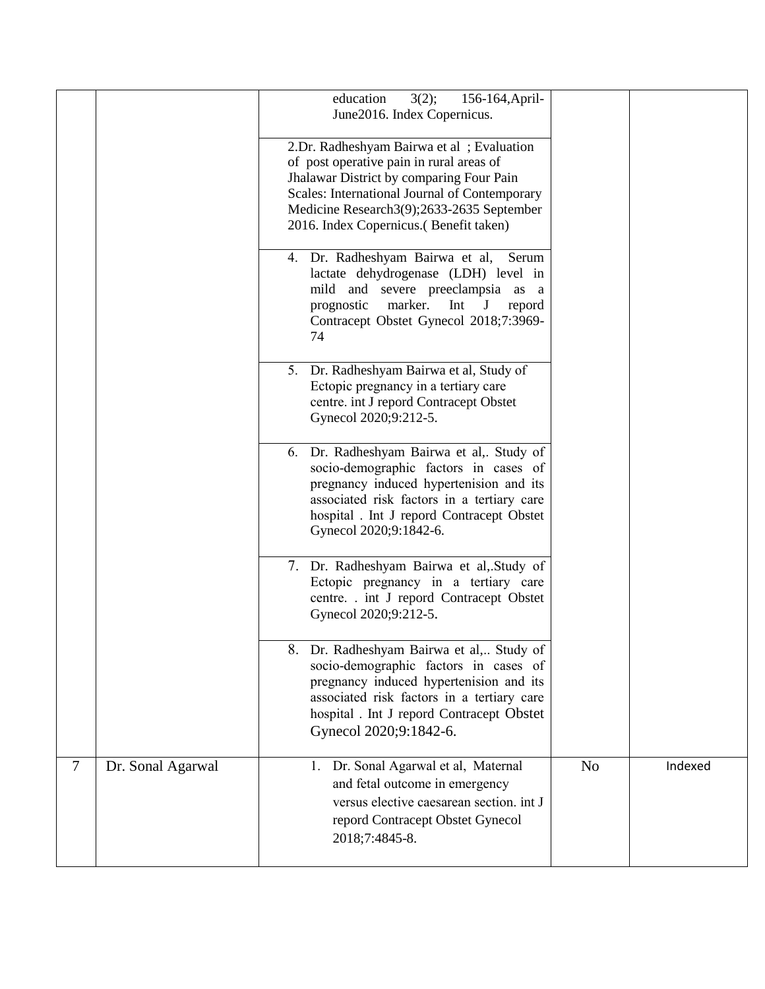|                |                   | education<br>3(2);<br>156-164, April-<br>June2016. Index Copernicus.                                                                                                                                                                                                      |                |         |
|----------------|-------------------|---------------------------------------------------------------------------------------------------------------------------------------------------------------------------------------------------------------------------------------------------------------------------|----------------|---------|
|                |                   | 2.Dr. Radheshyam Bairwa et al; Evaluation<br>of post operative pain in rural areas of<br>Jhalawar District by comparing Four Pain<br>Scales: International Journal of Contemporary<br>Medicine Research3(9);2633-2635 September<br>2016. Index Copernicus.(Benefit taken) |                |         |
|                |                   | 4. Dr. Radheshyam Bairwa et al, Serum<br>lactate dehydrogenase (LDH) level in<br>mild and severe preeclampsia as a<br>marker.<br>prognostic<br>Int<br>J<br>repord<br>Contracept Obstet Gynecol 2018;7:3969-<br>74                                                         |                |         |
|                |                   | 5. Dr. Radheshyam Bairwa et al, Study of<br>Ectopic pregnancy in a tertiary care<br>centre. int J repord Contracept Obstet<br>Gynecol 2020;9:212-5.                                                                                                                       |                |         |
|                |                   | 6. Dr. Radheshyam Bairwa et al,. Study of<br>socio-demographic factors in cases of<br>pregnancy induced hypertenision and its<br>associated risk factors in a tertiary care<br>hospital . Int J repord Contracept Obstet<br>Gynecol 2020;9:1842-6.                        |                |         |
|                |                   | 7. Dr. Radheshyam Bairwa et al, Study of<br>Ectopic pregnancy in a tertiary care<br>centre. . int J repord Contracept Obstet<br>Gynecol 2020;9:212-5.                                                                                                                     |                |         |
|                |                   | 8. Dr. Radheshyam Bairwa et al, Study of<br>socio-demographic factors in cases of<br>pregnancy induced hypertenision and its<br>associated risk factors in a tertiary care<br>hospital . Int J repord Contracept Obstet<br>Gynecol 2020;9:1842-6.                         |                |         |
| $\overline{7}$ | Dr. Sonal Agarwal | 1. Dr. Sonal Agarwal et al, Maternal<br>and fetal outcome in emergency<br>versus elective caesarean section. int J<br>repord Contracept Obstet Gynecol<br>2018;7:4845-8.                                                                                                  | N <sub>o</sub> | Indexed |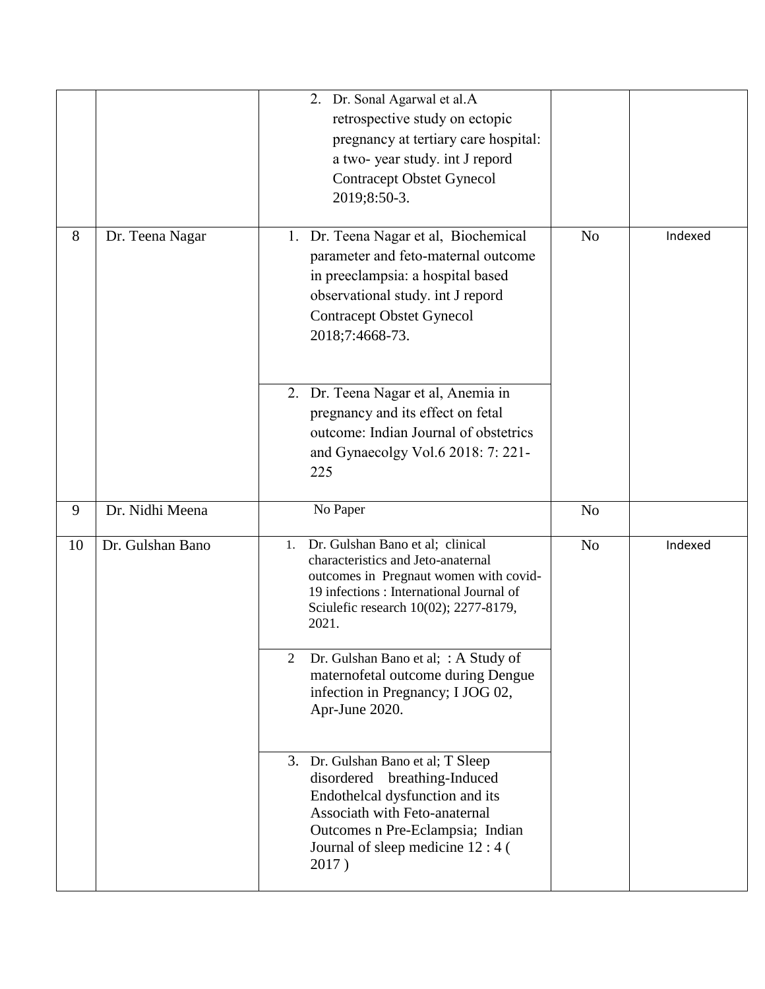|    |                  | 2. Dr. Sonal Agarwal et al.A<br>retrospective study on ectopic<br>pregnancy at tertiary care hospital:<br>a two-year study. int J repord<br><b>Contracept Obstet Gynecol</b><br>2019;8:50-3.                                                                                                        |                |         |
|----|------------------|-----------------------------------------------------------------------------------------------------------------------------------------------------------------------------------------------------------------------------------------------------------------------------------------------------|----------------|---------|
| 8  | Dr. Teena Nagar  | 1. Dr. Teena Nagar et al, Biochemical<br>parameter and feto-maternal outcome<br>in preeclampsia: a hospital based<br>observational study. int J repord<br><b>Contracept Obstet Gynecol</b><br>2018;7:4668-73.                                                                                       | N <sub>o</sub> | Indexed |
|    |                  | 2. Dr. Teena Nagar et al, Anemia in<br>pregnancy and its effect on fetal<br>outcome: Indian Journal of obstetrics<br>and Gynaecolgy Vol.6 2018: 7: 221-<br>225                                                                                                                                      |                |         |
| 9  | Dr. Nidhi Meena  | No Paper                                                                                                                                                                                                                                                                                            | N <sub>o</sub> |         |
| 10 | Dr. Gulshan Bano | 1. Dr. Gulshan Bano et al; clinical<br>characteristics and Jeto-anaternal<br>outcomes in Pregnaut women with covid-<br>19 infections: International Journal of<br>Sciulefic research 10(02); 2277-8179,<br>2021.<br>Dr. Gulshan Bano et al; : A Study of<br>2<br>maternofetal outcome during Dengue | N <sub>o</sub> | Indexed |
|    |                  | infection in Pregnancy; I JOG 02,<br>Apr-June 2020.<br>3. Dr. Gulshan Bano et al; T Sleep<br>disordered breathing-Induced<br>Endothelcal dysfunction and its                                                                                                                                        |                |         |
|    |                  | <b>Associath with Feto-anaternal</b>                                                                                                                                                                                                                                                                |                |         |